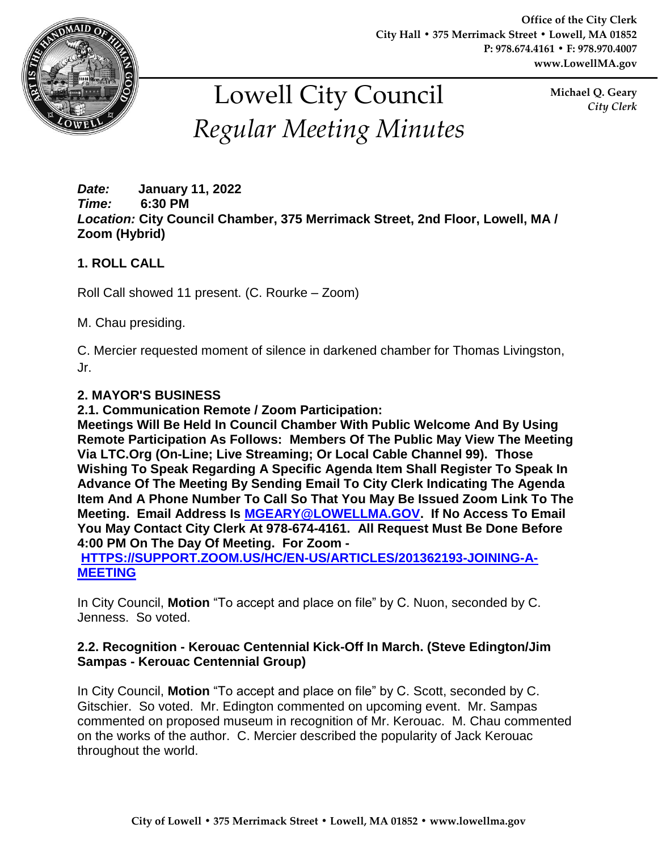

**Office of the City Clerk City Hall • 375 Merrimack Street • Lowell, MA 01852 P: 978.674.4161 • F: 978.970.4007 www.LowellMA.gov**

# Lowell City Council *Regular Meeting Minutes*

**Michael Q. Geary** *City Clerk*

#### *Date:* **January 11, 2022** *Time:* **6:30 PM** *Location:* **City Council Chamber, 375 Merrimack Street, 2nd Floor, Lowell, MA / Zoom (Hybrid)**

# **1. ROLL CALL**

Roll Call showed 11 present. (C. Rourke – Zoom)

M. Chau presiding.

C. Mercier requested moment of silence in darkened chamber for Thomas Livingston, Jr.

## **2. MAYOR'S BUSINESS**

**2.1. Communication Remote / Zoom Participation:**

**Meetings Will Be Held In Council Chamber With Public Welcome And By Using Remote Participation As Follows: Members Of The Public May View The Meeting Via LTC.Org (On-Line; Live Streaming; Or Local Cable Channel 99). Those Wishing To Speak Regarding A Specific Agenda Item Shall Register To Speak In Advance Of The Meeting By Sending Email To City Clerk Indicating The Agenda Item And A Phone Number To Call So That You May Be Issued Zoom Link To The Meeting. Email Address Is [MGEARY@LOWELLMA.GOV.](mailto:mgeary@lowellma.gov) If No Access To Email You May Contact City Clerk At 978-674-4161. All Request Must Be Done Before 4:00 PM On The Day Of Meeting. For Zoom -**

**[HTTPS://SUPPORT.ZOOM.US/HC/EN-US/ARTICLES/201362193-JOINING-A-](https://support.zoom.us/hc/en-us/articles/201362193-Joining-a-Meeting)[MEETING](https://support.zoom.us/hc/en-us/articles/201362193-Joining-a-Meeting)**

In City Council, **Motion** "To accept and place on file" by C. Nuon, seconded by C. Jenness. So voted.

## **2.2. Recognition - Kerouac Centennial Kick-Off In March. (Steve Edington/Jim Sampas - Kerouac Centennial Group)**

In City Council, **Motion** "To accept and place on file" by C. Scott, seconded by C. Gitschier. So voted. Mr. Edington commented on upcoming event. Mr. Sampas commented on proposed museum in recognition of Mr. Kerouac. M. Chau commented on the works of the author. C. Mercier described the popularity of Jack Kerouac throughout the world.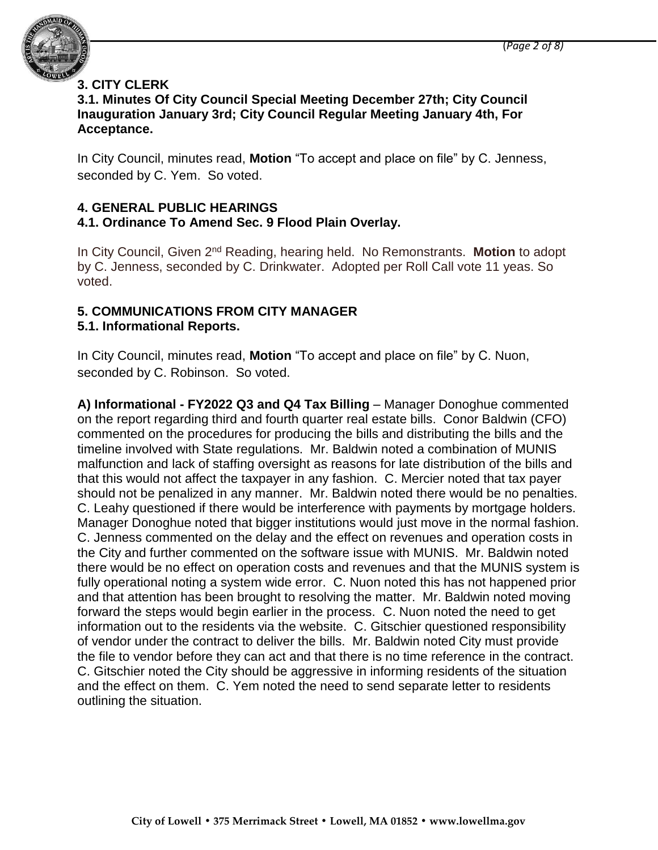

# **3. CITY CLERK**

#### **3.1. Minutes Of City Council Special Meeting December 27th; City Council Inauguration January 3rd; City Council Regular Meeting January 4th, For Acceptance.**

In City Council, minutes read, **Motion** "To accept and place on file" by C. Jenness, seconded by C. Yem. So voted.

#### **4. GENERAL PUBLIC HEARINGS 4.1. Ordinance To Amend Sec. 9 Flood Plain Overlay.**

In City Council, Given 2nd Reading, hearing held. No Remonstrants. **Motion** to adopt by C. Jenness, seconded by C. Drinkwater. Adopted per Roll Call vote 11 yeas. So voted.

# **5. COMMUNICATIONS FROM CITY MANAGER**

# **5.1. Informational Reports.**

In City Council, minutes read, **Motion** "To accept and place on file" by C. Nuon, seconded by C. Robinson. So voted.

**A) Informational - FY2022 Q3 and Q4 Tax Billing** – Manager Donoghue commented on the report regarding third and fourth quarter real estate bills. Conor Baldwin (CFO) commented on the procedures for producing the bills and distributing the bills and the timeline involved with State regulations. Mr. Baldwin noted a combination of MUNIS malfunction and lack of staffing oversight as reasons for late distribution of the bills and that this would not affect the taxpayer in any fashion. C. Mercier noted that tax payer should not be penalized in any manner. Mr. Baldwin noted there would be no penalties. C. Leahy questioned if there would be interference with payments by mortgage holders. Manager Donoghue noted that bigger institutions would just move in the normal fashion. C. Jenness commented on the delay and the effect on revenues and operation costs in the City and further commented on the software issue with MUNIS. Mr. Baldwin noted there would be no effect on operation costs and revenues and that the MUNIS system is fully operational noting a system wide error. C. Nuon noted this has not happened prior and that attention has been brought to resolving the matter. Mr. Baldwin noted moving forward the steps would begin earlier in the process. C. Nuon noted the need to get information out to the residents via the website. C. Gitschier questioned responsibility of vendor under the contract to deliver the bills. Mr. Baldwin noted City must provide the file to vendor before they can act and that there is no time reference in the contract. C. Gitschier noted the City should be aggressive in informing residents of the situation and the effect on them. C. Yem noted the need to send separate letter to residents outlining the situation.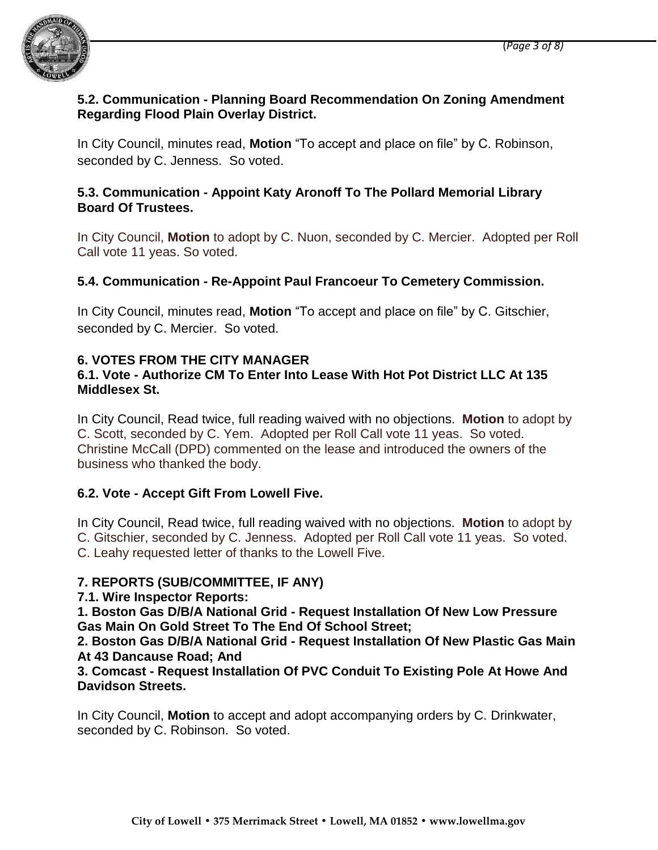

## **5.2. Communication - Planning Board Recommendation On Zoning Amendment Regarding Flood Plain Overlay District.**

In City Council, minutes read, **Motion** "To accept and place on file" by C. Robinson, seconded by C. Jenness. So voted.

## **5.3. Communication - Appoint Katy Aronoff To The Pollard Memorial Library Board Of Trustees.**

In City Council, **Motion** to adopt by C. Nuon, seconded by C. Mercier. Adopted per Roll Call vote 11 yeas. So voted.

# **5.4. Communication - Re-Appoint Paul Francoeur To Cemetery Commission.**

In City Council, minutes read, **Motion** "To accept and place on file" by C. Gitschier, seconded by C. Mercier. So voted.

# **6. VOTES FROM THE CITY MANAGER**

## **6.1. Vote - Authorize CM To Enter Into Lease With Hot Pot District LLC At 135 Middlesex St.**

In City Council, Read twice, full reading waived with no objections. **Motion** to adopt by C. Scott, seconded by C. Yem. Adopted per Roll Call vote 11 yeas. So voted. Christine McCall (DPD) commented on the lease and introduced the owners of the business who thanked the body.

# **6.2. Vote - Accept Gift From Lowell Five.**

In City Council, Read twice, full reading waived with no objections. **Motion** to adopt by C. Gitschier, seconded by C. Jenness. Adopted per Roll Call vote 11 yeas. So voted. C. Leahy requested letter of thanks to the Lowell Five.

# **7. REPORTS (SUB/COMMITTEE, IF ANY)**

# **7.1. Wire Inspector Reports:**

**1. Boston Gas D/B/A National Grid - Request Installation Of New Low Pressure Gas Main On Gold Street To The End Of School Street;**

**2. Boston Gas D/B/A National Grid - Request Installation Of New Plastic Gas Main At 43 Dancause Road; And**

**3. Comcast - Request Installation Of PVC Conduit To Existing Pole At Howe And Davidson Streets.**

In City Council, **Motion** to accept and adopt accompanying orders by C. Drinkwater, seconded by C. Robinson. So voted.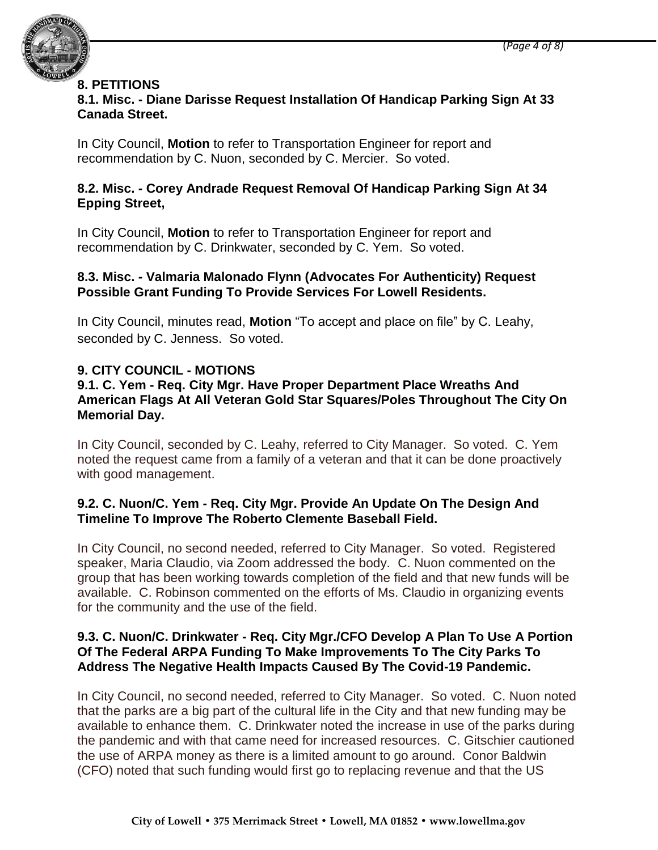

#### **8. PETITIONS**

# **8.1. Misc. - Diane Darisse Request Installation Of Handicap Parking Sign At 33 Canada Street.**

In City Council, **Motion** to refer to Transportation Engineer for report and recommendation by C. Nuon, seconded by C. Mercier. So voted.

## **8.2. Misc. - Corey Andrade Request Removal Of Handicap Parking Sign At 34 Epping Street,**

In City Council, **Motion** to refer to Transportation Engineer for report and recommendation by C. Drinkwater, seconded by C. Yem. So voted.

#### **8.3. Misc. - Valmaria Malonado Flynn (Advocates For Authenticity) Request Possible Grant Funding To Provide Services For Lowell Residents.**

In City Council, minutes read, **Motion** "To accept and place on file" by C. Leahy, seconded by C. Jenness. So voted.

# **9. CITY COUNCIL - MOTIONS**

## **9.1. C. Yem - Req. City Mgr. Have Proper Department Place Wreaths And American Flags At All Veteran Gold Star Squares/Poles Throughout The City On Memorial Day.**

In City Council, seconded by C. Leahy, referred to City Manager. So voted. C. Yem noted the request came from a family of a veteran and that it can be done proactively with good management.

## **9.2. C. Nuon/C. Yem - Req. City Mgr. Provide An Update On The Design And Timeline To Improve The Roberto Clemente Baseball Field.**

In City Council, no second needed, referred to City Manager. So voted. Registered speaker, Maria Claudio, via Zoom addressed the body. C. Nuon commented on the group that has been working towards completion of the field and that new funds will be available. C. Robinson commented on the efforts of Ms. Claudio in organizing events for the community and the use of the field.

#### **9.3. C. Nuon/C. Drinkwater - Req. City Mgr./CFO Develop A Plan To Use A Portion Of The Federal ARPA Funding To Make Improvements To The City Parks To Address The Negative Health Impacts Caused By The Covid-19 Pandemic.**

In City Council, no second needed, referred to City Manager. So voted. C. Nuon noted that the parks are a big part of the cultural life in the City and that new funding may be available to enhance them. C. Drinkwater noted the increase in use of the parks during the pandemic and with that came need for increased resources. C. Gitschier cautioned the use of ARPA money as there is a limited amount to go around. Conor Baldwin (CFO) noted that such funding would first go to replacing revenue and that the US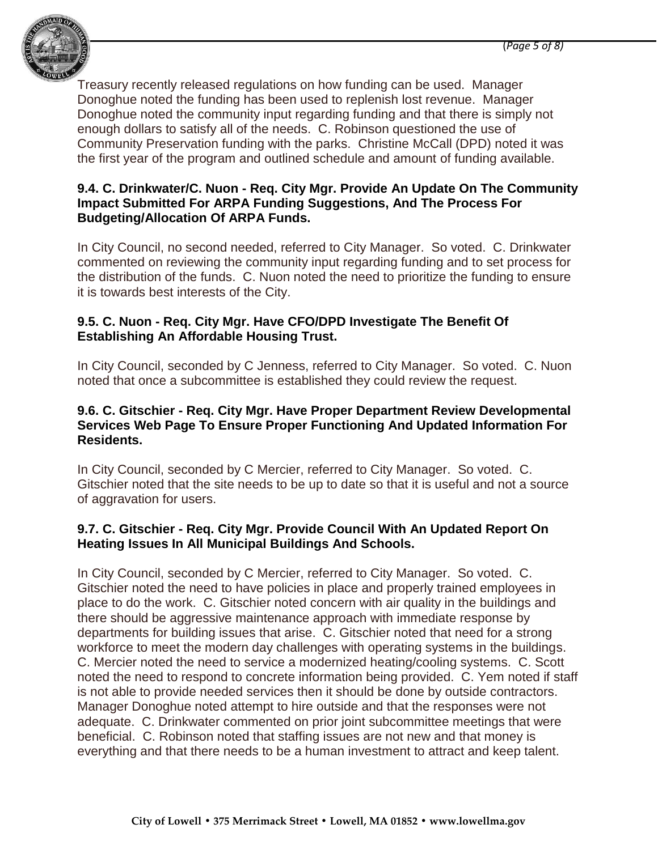

Treasury recently released regulations on how funding can be used. Manager Donoghue noted the funding has been used to replenish lost revenue. Manager Donoghue noted the community input regarding funding and that there is simply not enough dollars to satisfy all of the needs. C. Robinson questioned the use of Community Preservation funding with the parks. Christine McCall (DPD) noted it was the first year of the program and outlined schedule and amount of funding available.

## **9.4. C. Drinkwater/C. Nuon - Req. City Mgr. Provide An Update On The Community Impact Submitted For ARPA Funding Suggestions, And The Process For Budgeting/Allocation Of ARPA Funds.**

In City Council, no second needed, referred to City Manager. So voted. C. Drinkwater commented on reviewing the community input regarding funding and to set process for the distribution of the funds. C. Nuon noted the need to prioritize the funding to ensure it is towards best interests of the City.

## **9.5. C. Nuon - Req. City Mgr. Have CFO/DPD Investigate The Benefit Of Establishing An Affordable Housing Trust.**

In City Council, seconded by C Jenness, referred to City Manager. So voted. C. Nuon noted that once a subcommittee is established they could review the request.

## **9.6. C. Gitschier - Req. City Mgr. Have Proper Department Review Developmental Services Web Page To Ensure Proper Functioning And Updated Information For Residents.**

In City Council, seconded by C Mercier, referred to City Manager. So voted. C. Gitschier noted that the site needs to be up to date so that it is useful and not a source of aggravation for users.

# **9.7. C. Gitschier - Req. City Mgr. Provide Council With An Updated Report On Heating Issues In All Municipal Buildings And Schools.**

In City Council, seconded by C Mercier, referred to City Manager. So voted. C. Gitschier noted the need to have policies in place and properly trained employees in place to do the work. C. Gitschier noted concern with air quality in the buildings and there should be aggressive maintenance approach with immediate response by departments for building issues that arise. C. Gitschier noted that need for a strong workforce to meet the modern day challenges with operating systems in the buildings. C. Mercier noted the need to service a modernized heating/cooling systems. C. Scott noted the need to respond to concrete information being provided. C. Yem noted if staff is not able to provide needed services then it should be done by outside contractors. Manager Donoghue noted attempt to hire outside and that the responses were not adequate. C. Drinkwater commented on prior joint subcommittee meetings that were beneficial. C. Robinson noted that staffing issues are not new and that money is everything and that there needs to be a human investment to attract and keep talent.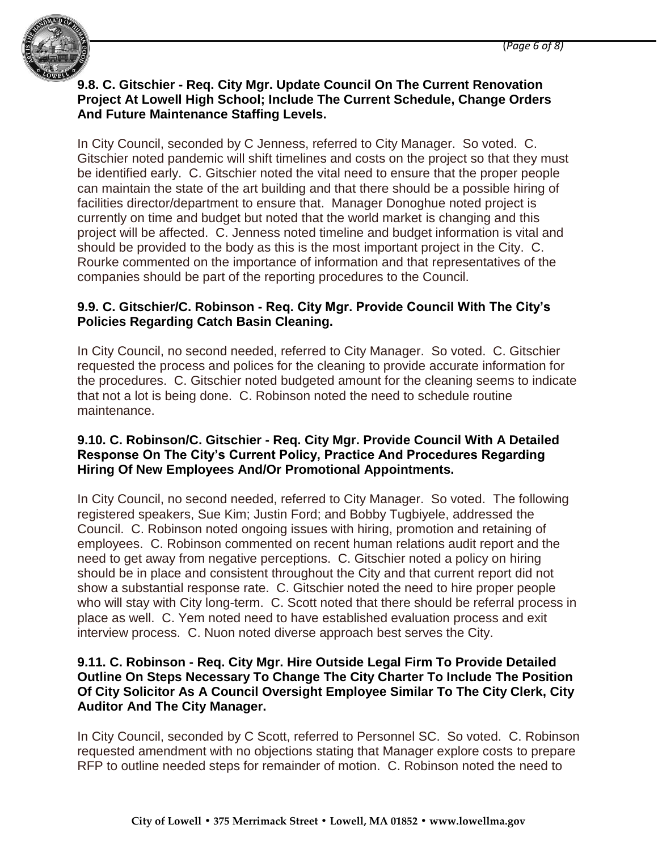

## **9.8. C. Gitschier - Req. City Mgr. Update Council On The Current Renovation Project At Lowell High School; Include The Current Schedule, Change Orders And Future Maintenance Staffing Levels.**

In City Council, seconded by C Jenness, referred to City Manager. So voted. C. Gitschier noted pandemic will shift timelines and costs on the project so that they must be identified early. C. Gitschier noted the vital need to ensure that the proper people can maintain the state of the art building and that there should be a possible hiring of facilities director/department to ensure that. Manager Donoghue noted project is currently on time and budget but noted that the world market is changing and this project will be affected. C. Jenness noted timeline and budget information is vital and should be provided to the body as this is the most important project in the City. C. Rourke commented on the importance of information and that representatives of the companies should be part of the reporting procedures to the Council.

## **9.9. C. Gitschier/C. Robinson - Req. City Mgr. Provide Council With The City's Policies Regarding Catch Basin Cleaning.**

In City Council, no second needed, referred to City Manager. So voted. C. Gitschier requested the process and polices for the cleaning to provide accurate information for the procedures. C. Gitschier noted budgeted amount for the cleaning seems to indicate that not a lot is being done. C. Robinson noted the need to schedule routine maintenance.

#### **9.10. C. Robinson/C. Gitschier - Req. City Mgr. Provide Council With A Detailed Response On The City's Current Policy, Practice And Procedures Regarding Hiring Of New Employees And/Or Promotional Appointments.**

In City Council, no second needed, referred to City Manager. So voted. The following registered speakers, Sue Kim; Justin Ford; and Bobby Tugbiyele, addressed the Council. C. Robinson noted ongoing issues with hiring, promotion and retaining of employees. C. Robinson commented on recent human relations audit report and the need to get away from negative perceptions. C. Gitschier noted a policy on hiring should be in place and consistent throughout the City and that current report did not show a substantial response rate. C. Gitschier noted the need to hire proper people who will stay with City long-term. C. Scott noted that there should be referral process in place as well. C. Yem noted need to have established evaluation process and exit interview process. C. Nuon noted diverse approach best serves the City.

#### **9.11. C. Robinson - Req. City Mgr. Hire Outside Legal Firm To Provide Detailed Outline On Steps Necessary To Change The City Charter To Include The Position Of City Solicitor As A Council Oversight Employee Similar To The City Clerk, City Auditor And The City Manager.**

In City Council, seconded by C Scott, referred to Personnel SC. So voted. C. Robinson requested amendment with no objections stating that Manager explore costs to prepare RFP to outline needed steps for remainder of motion. C. Robinson noted the need to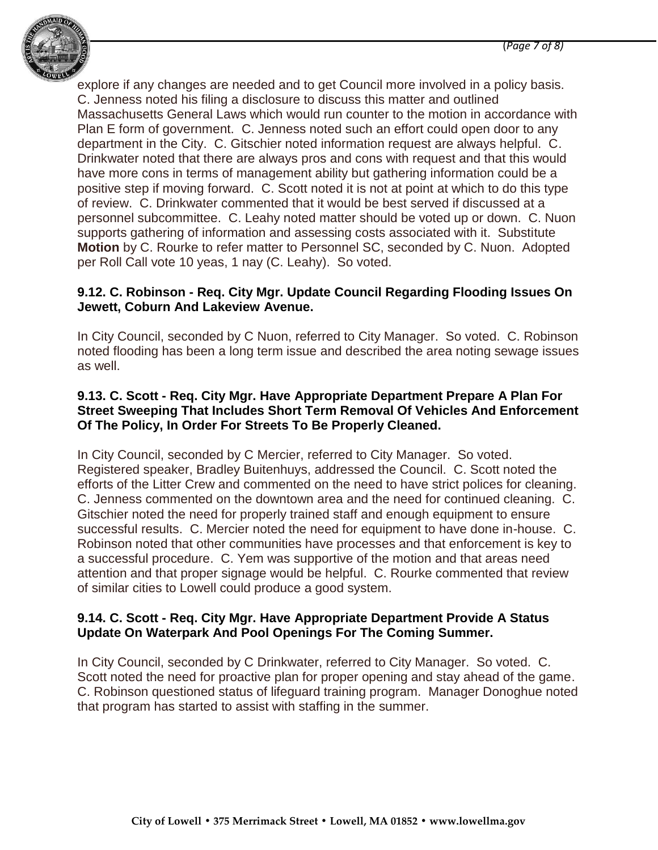

explore if any changes are needed and to get Council more involved in a policy basis. C. Jenness noted his filing a disclosure to discuss this matter and outlined Massachusetts General Laws which would run counter to the motion in accordance with Plan E form of government. C. Jenness noted such an effort could open door to any department in the City. C. Gitschier noted information request are always helpful. C. Drinkwater noted that there are always pros and cons with request and that this would have more cons in terms of management ability but gathering information could be a positive step if moving forward. C. Scott noted it is not at point at which to do this type of review. C. Drinkwater commented that it would be best served if discussed at a personnel subcommittee. C. Leahy noted matter should be voted up or down. C. Nuon supports gathering of information and assessing costs associated with it. Substitute **Motion** by C. Rourke to refer matter to Personnel SC, seconded by C. Nuon. Adopted per Roll Call vote 10 yeas, 1 nay (C. Leahy). So voted.

## **9.12. C. Robinson - Req. City Mgr. Update Council Regarding Flooding Issues On Jewett, Coburn And Lakeview Avenue.**

In City Council, seconded by C Nuon, referred to City Manager. So voted. C. Robinson noted flooding has been a long term issue and described the area noting sewage issues as well.

#### **9.13. C. Scott - Req. City Mgr. Have Appropriate Department Prepare A Plan For Street Sweeping That Includes Short Term Removal Of Vehicles And Enforcement Of The Policy, In Order For Streets To Be Properly Cleaned.**

In City Council, seconded by C Mercier, referred to City Manager. So voted. Registered speaker, Bradley Buitenhuys, addressed the Council. C. Scott noted the efforts of the Litter Crew and commented on the need to have strict polices for cleaning. C. Jenness commented on the downtown area and the need for continued cleaning. C. Gitschier noted the need for properly trained staff and enough equipment to ensure successful results. C. Mercier noted the need for equipment to have done in-house. C. Robinson noted that other communities have processes and that enforcement is key to a successful procedure. C. Yem was supportive of the motion and that areas need attention and that proper signage would be helpful. C. Rourke commented that review of similar cities to Lowell could produce a good system.

#### **9.14. C. Scott - Req. City Mgr. Have Appropriate Department Provide A Status Update On Waterpark And Pool Openings For The Coming Summer.**

In City Council, seconded by C Drinkwater, referred to City Manager. So voted. C. Scott noted the need for proactive plan for proper opening and stay ahead of the game. C. Robinson questioned status of lifeguard training program. Manager Donoghue noted that program has started to assist with staffing in the summer.